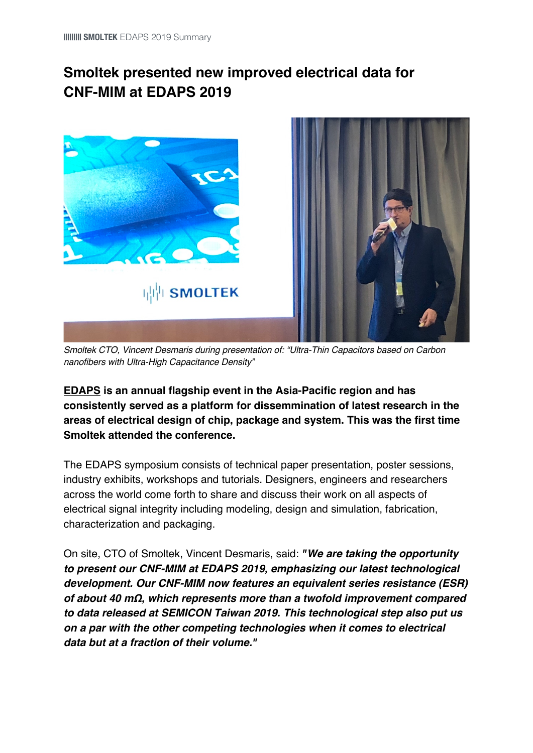## **Smoltek presented new improved electrical data for CNF-MIM at EDAPS 2019**



*Smoltek CTO, Vincent Desmaris during presentation of: "Ultra-Thin Capacitors based on Carbon nanofibers with Ultra-High Capacitance Density"*

**EDAPS is an annual flagship event in the Asia-Pacific region and has consistently served as a platform for dissemmination of latest research in the areas of electrical design of chip, package and system. This was the first time Smoltek attended the conference.**

The EDAPS symposium consists of technical paper presentation, poster sessions, industry exhibits, workshops and tutorials. Designers, engineers and researchers across the world come forth to share and discuss their work on all aspects of electrical signal integrity including modeling, design and simulation, fabrication, characterization and packaging.

On site, CTO of Smoltek, Vincent Desmaris, said: *"We are taking the opportunity to present our CNF-MIM at EDAPS 2019, emphasizing our latest technological development. Our CNF-MIM now features an equivalent series resistance (ESR) of about 40 m***Ω***, which represents more than a twofold improvement compared to data released at SEMICON Taiwan 2019. This technological step also put us on a par with the other competing technologies when it comes to electrical data but at a fraction of their volume."*